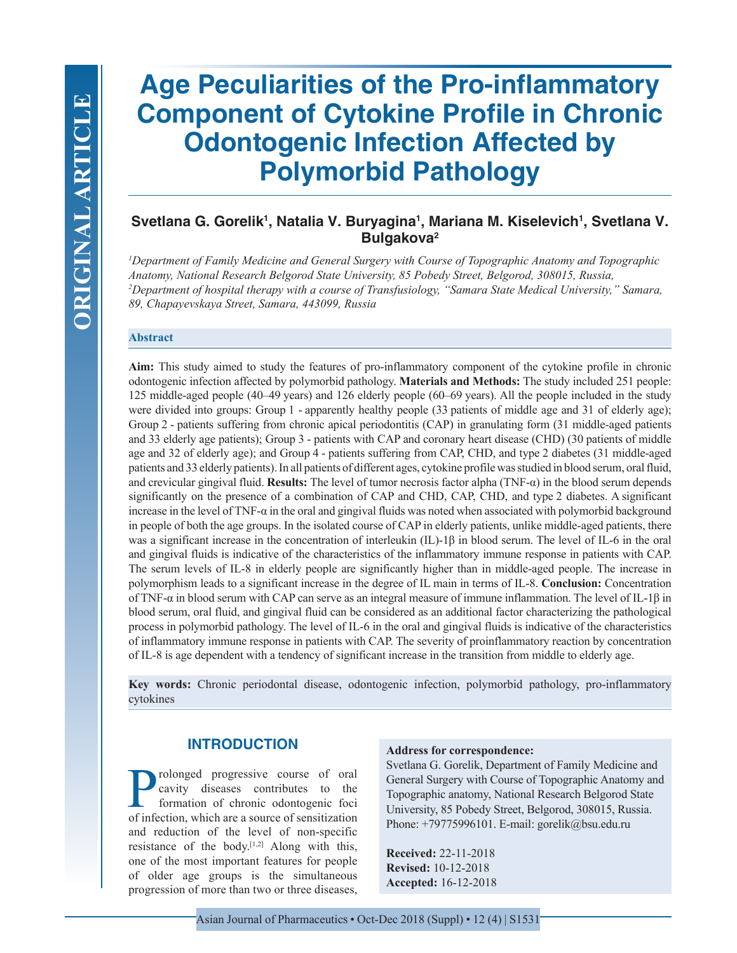# **Age Peculiarities of the Pro-inflammatory Component of Cytokine Profile in Chronic Odontogenic Infection Affected by Polymorbid Pathology**

# **Svetlana G. Gorelik1 , Natalia V. Buryagina1 , Mariana M. Kiselevich1 , Svetlana V. Bulgakova2**

*1 Department of Family Medicine and General Surgery with Course of Topographic Anatomy and Topographic Anatomy, National Research Belgorod State University, 85 Pobedy Street, Belgorod, 308015, Russia, 2 Department of hospital therapy with a course of Transfusiology, "Samara State Medical University," Samara, 89, Chapayevskaya Street, Samara, 443099, Russia*

#### **Abstract**

**Aim:** This study aimed to study the features of pro-inflammatory component of the cytokine profile in chronic odontogenic infection affected by polymorbid pathology. **Materials and Methods:** The study included 251 people: 125 middle-aged people (40–49 years) and 126 elderly people (60–69 years). All the people included in the study were divided into groups: Group 1 - apparently healthy people (33 patients of middle age and 31 of elderly age); Group 2 - patients suffering from chronic apical periodontitis (CAP) in granulating form (31 middle-aged patients and 33 elderly age patients); Group 3 - patients with CAP and coronary heart disease (CHD) (30 patients of middle age and 32 of elderly age); and Group 4 - patients suffering from CAP, CHD, and type 2 diabetes (31 middle-aged patients and 33 elderly patients). In all patients of different ages, cytokine profile was studied in blood serum, oral fluid, and crevicular gingival fluid. **Results:** The level of tumor necrosis factor alpha (TNF-α) in the blood serum depends significantly on the presence of a combination of CAP and CHD, CAP, CHD, and type 2 diabetes. A significant increase in the level of TNF- $\alpha$  in the oral and gingival fluids was noted when associated with polymorbid background in people of both the age groups. In the isolated course of CAP in elderly patients, unlike middle-aged patients, there was a significant increase in the concentration of interleukin (IL)-1β in blood serum. The level of IL-6 in the oral and gingival fluids is indicative of the characteristics of the inflammatory immune response in patients with CAP. The serum levels of IL-8 in elderly people are significantly higher than in middle-aged people. The increase in polymorphism leads to a significant increase in the degree of IL main in terms of IL-8. **Conclusion:** Concentration of TNF-α in blood serum with CAP can serve as an integral measure of immune inflammation. The level of IL-1β in blood serum, oral fluid, and gingival fluid can be considered as an additional factor characterizing the pathological process in polymorbid pathology. The level of IL-6 in the oral and gingival fluids is indicative of the characteristics of inflammatory immune response in patients with CAP. The severity of proinflammatory reaction by concentration of IL-8 is age dependent with a tendency of significant increase in the transition from middle to elderly age.

**Key words:** Chronic periodontal disease, odontogenic infection, polymorbid pathology, pro-inflammatory cytokines

# **INTRODUCTION**

Prolonged progressive course of oral<br>cavity diseases contributes to the<br>formation of chronic odontogenic foci<br>of infection which are a source of sensitization cavity diseases contributes to the formation of chronic odontogenic foci of infection, which are a source of sensitization and reduction of the level of non-specific resistance of the body. $[1,2]$  Along with this, one of the most important features for people of older age groups is the simultaneous progression of more than two or three diseases,

#### **Address for correspondence:**

Svetlana G. Gorelik, Department of Family Medicine and General Surgery with Course of Topographic Anatomy and Topographic anatomy, National Research Belgorod State University, 85 Pobedy Street, Belgorod, 308015, Russia. Phone: +79775996101. E-mail: gorelik@bsu.edu.ru

**Received:** 22-11-2018 **Revised:** 10-12-2018 **Accepted:** 16-12-2018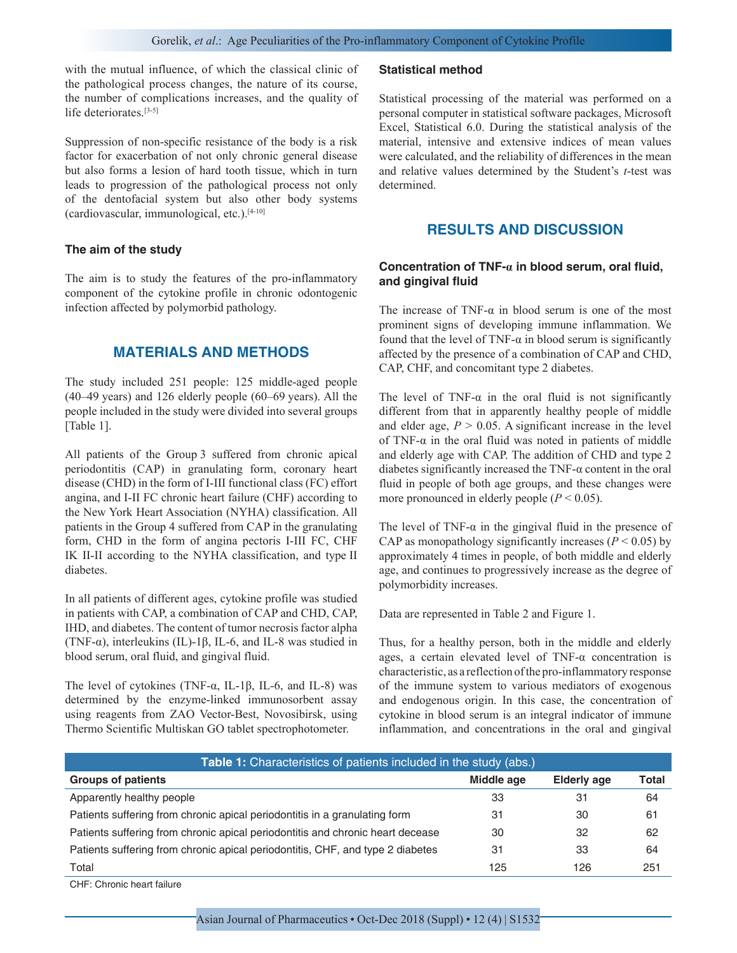with the mutual influence, of which the classical clinic of the pathological process changes, the nature of its course, the number of complications increases, and the quality of life deteriorates.[3-5]

Suppression of non-specific resistance of the body is a risk factor for exacerbation of not only chronic general disease but also forms a lesion of hard tooth tissue, which in turn leads to progression of the pathological process not only of the dentofacial system but also other body systems (cardiovascular, immunological, etc.).[4-10]

#### **The aim of the study**

The aim is to study the features of the pro-inflammatory component of the cytokine profile in chronic odontogenic infection affected by polymorbid pathology.

# **MATERIALS AND METHODS**

The study included 251 people: 125 middle-aged people (40–49 years) and 126 elderly people (60–69 years). All the people included in the study were divided into several groups [Table 1].

All patients of the Group 3 suffered from chronic apical periodontitis (CAP) in granulating form, coronary heart disease (CHD) in the form of I-III functional class (FC) effort angina, and I-II FC chronic heart failure (CHF) according to the New York Heart Association (NYHA) classification. All patients in the Group 4 suffered from CAP in the granulating form, CHD in the form of angina pectoris I-III FC, CHF IK II-II according to the NYHA classification, and type II diabetes.

In all patients of different ages, cytokine profile was studied in patients with CAP, a combination of CAP and CHD, CAP, IHD, and diabetes. The content of tumor necrosis factor alpha (TNF-α), interleukins (IL)-1β, IL-6, and IL-8 was studied in blood serum, oral fluid, and gingival fluid.

The level of cytokines (TNF-α, IL-1β, IL-6, and IL-8) was determined by the enzyme-linked immunosorbent assay using reagents from ZAO Vector-Best, Novosibirsk, using Thermo Scientific Multiskan GO tablet spectrophotometer.

#### **Statistical method**

Statistical processing of the material was performed on a personal computer in statistical software packages, Microsoft Excel, Statistical 6.0. During the statistical analysis of the material, intensive and extensive indices of mean values were calculated, and the reliability of differences in the mean and relative values determined by the Student's *t*-test was determined.

## **RESULTS AND DISCUSSION**

#### **Concentration of TNF-α in blood serum, oral fluid, and gingival fluid**

The increase of TNF- $\alpha$  in blood serum is one of the most prominent signs of developing immune inflammation. We found that the level of TNF- $\alpha$  in blood serum is significantly affected by the presence of a combination of CAP and CHD, CAP, CHF, and concomitant type 2 diabetes.

The level of TNF- $\alpha$  in the oral fluid is not significantly different from that in apparently healthy people of middle and elder age,  $P > 0.05$ . A significant increase in the level of TNF- $\alpha$  in the oral fluid was noted in patients of middle and elderly age with CAP. The addition of CHD and type 2 diabetes significantly increased the TNF- $\alpha$  content in the oral fluid in people of both age groups, and these changes were more pronounced in elderly people  $(P < 0.05)$ .

The level of TNF- $\alpha$  in the gingival fluid in the presence of CAP as monopathology significantly increases  $(P < 0.05)$  by approximately 4 times in people, of both middle and elderly age, and continues to progressively increase as the degree of polymorbidity increases.

Data are represented in Table 2 and Figure 1.

Thus, for a healthy person, both in the middle and elderly ages, a certain elevated level of TNF-α concentration is characteristic, as a reflection of the pro-inflammatory response of the immune system to various mediators of exogenous and endogenous origin. In this case, the concentration of cytokine in blood serum is an integral indicator of immune inflammation, and concentrations in the oral and gingival

| Table 1: Characteristics of patients included in the study (abs.)              |            |                    |              |  |  |  |  |
|--------------------------------------------------------------------------------|------------|--------------------|--------------|--|--|--|--|
| <b>Groups of patients</b>                                                      | Middle age | <b>Elderly age</b> | <b>Total</b> |  |  |  |  |
| Apparently healthy people                                                      | 33         | 31                 | 64           |  |  |  |  |
| Patients suffering from chronic apical periodontitis in a granulating form     | 31         | 30                 | 61           |  |  |  |  |
| Patients suffering from chronic apical periodontitis and chronic heart decease | 30         | 32                 | 62           |  |  |  |  |
| Patients suffering from chronic apical periodontitis, CHF, and type 2 diabetes | 31         | 33                 | 64           |  |  |  |  |
| Total                                                                          | 125        | 126                | 251          |  |  |  |  |

CHF: Chronic heart failure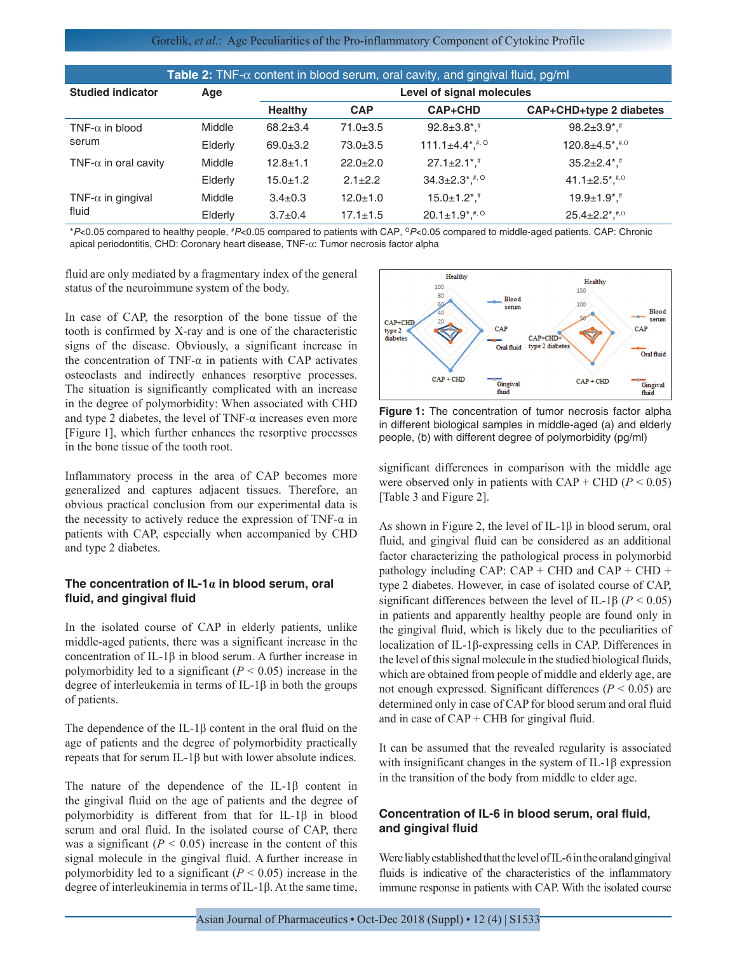#### Gorelik, *et al*.: Age Peculiarities of the Pro-inflammatory Component of Cytokine Profile

| Table 2: TNF- $\alpha$ content in blood serum, oral cavity, and gingival fluid, pg/ml |         |                           |                |                                   |                                              |  |
|---------------------------------------------------------------------------------------|---------|---------------------------|----------------|-----------------------------------|----------------------------------------------|--|
| <b>Studied indicator</b>                                                              | Age     | Level of signal molecules |                |                                   |                                              |  |
|                                                                                       |         | <b>Healthy</b>            | <b>CAP</b>     | <b>CAP+CHD</b>                    | CAP+CHD+type 2 diabetes                      |  |
| TNF- $\alpha$ in blood<br>serum                                                       | Middle  | $68.2 + 3.4$              | $71.0 \pm 3.5$ | $92.8 \pm 3.8$ <sup>*</sup> .     | $98.2 \pm 3.9$ <sup>*</sup> , <sup>#</sup>   |  |
|                                                                                       | Elderly | $69.0 \pm 3.2$            | $73.0 + 3.5$   | 111.1 $\pm$ 4.4*, $*$ , $\circ$   | $120.8 \pm 4.5$ *, #,0                       |  |
| TNF- $\alpha$ in oral cavity                                                          | Middle  | $12.8 + 1.1$              | $22.0 \pm 2.0$ | $27.1 \pm 2.1$ <sup>*</sup> .     | $35.2 \pm 2.4$ <sup>*</sup> .                |  |
|                                                                                       | Elderly | $15.0 \pm 1.2$            | $2.1 \pm 2.2$  | $34.3 \pm 2.3$ *, *, <sup>0</sup> | 41.1 $\pm$ 2.5 <sup>*</sup> , <sup>#,0</sup> |  |
| TNF- $\alpha$ in gingival<br>fluid                                                    | Middle  | $3.4 \pm 0.3$             | $12.0 + 1.0$   | $15.0 \pm 1.2$ *, #               | $19.9 \pm 1.9$ <sup>*</sup> .                |  |
|                                                                                       | Elderly | $3.7 \pm 0.4$             | $17.1 \pm 1.5$ | $20.1 \pm 1.9$ *.                 | $25.4 \pm 2.2$ *. $*$ , 0                    |  |

\**P*<0.05 compared to healthy people, # *P*<0.05 compared to patients with CAP, O*P*<0.05 compared to middle‑aged patients. CAP: Chronic apical periodontitis, CHD: Coronary heart disease, TNF‑α: Tumor necrosis factor alpha

fluid are only mediated by a fragmentary index of the general status of the neuroimmune system of the body.

In case of CAP, the resorption of the bone tissue of the tooth is confirmed by X-ray and is one of the characteristic signs of the disease. Obviously, a significant increase in the concentration of TNF- $\alpha$  in patients with CAP activates osteoclasts and indirectly enhances resorptive processes. The situation is significantly complicated with an increase in the degree of polymorbidity: When associated with CHD and type 2 diabetes, the level of TNF- $\alpha$  increases even more [Figure 1], which further enhances the resorptive processes in the bone tissue of the tooth root.

Inflammatory process in the area of CAP becomes more generalized and captures adjacent tissues. Therefore, an obvious practical conclusion from our experimental data is the necessity to actively reduce the expression of TNF- $\alpha$  in patients with CAP, especially when accompanied by CHD and type 2 diabetes.

#### **The concentration of IL-1α in blood serum, oral fluid, and gingival fluid**

In the isolated course of CAP in elderly patients, unlike middle-aged patients, there was a significant increase in the concentration of IL-1β in blood serum. A further increase in polymorbidity led to a significant  $(P < 0.05)$  increase in the degree of interleukemia in terms of IL-1β in both the groups of patients.

The dependence of the IL-1 $\beta$  content in the oral fluid on the age of patients and the degree of polymorbidity practically repeats that for serum IL-1β but with lower absolute indices.

The nature of the dependence of the IL-1 $\beta$  content in the gingival fluid on the age of patients and the degree of polymorbidity is different from that for IL-1β in blood serum and oral fluid. In the isolated course of CAP, there was a significant  $(P < 0.05)$  increase in the content of this signal molecule in the gingival fluid. A further increase in polymorbidity led to a significant  $(P < 0.05)$  increase in the degree of interleukinemia in terms of IL-1β. At the same time,



**Figure 1:** The concentration of tumor necrosis factor alpha in different biological samples in middle-aged (a) and elderly people, (b) with different degree of polymorbidity (pg/ml)

significant differences in comparison with the middle age were observed only in patients with  $CAP + CHD (P < 0.05)$ [Table 3 and Figure 2].

As shown in Figure 2, the level of IL-1β in blood serum, oral fluid, and gingival fluid can be considered as an additional factor characterizing the pathological process in polymorbid pathology including CAP:  $CAP + CHD$  and  $CAP + CHD +$ type 2 diabetes. However, in case of isolated course of CAP, significant differences between the level of IL-1β ( $P < 0.05$ ) in patients and apparently healthy people are found only in the gingival fluid, which is likely due to the peculiarities of localization of IL-1β-expressing cells in CAP. Differences in the level of this signal molecule in the studied biological fluids, which are obtained from people of middle and elderly age, are not enough expressed. Significant differences (*P* < 0.05) are determined only in case of CAP for blood serum and oral fluid and in case of  $CAP + CHB$  for gingival fluid.

It can be assumed that the revealed regularity is associated with insignificant changes in the system of IL-1β expression in the transition of the body from middle to elder age.

## **Concentration of IL-6 in blood serum, oral fluid, and gingival fluid**

Were liably established that the level of IL-6 in the oraland gingival fluids is indicative of the characteristics of the inflammatory immune response in patients with CAP. With the isolated course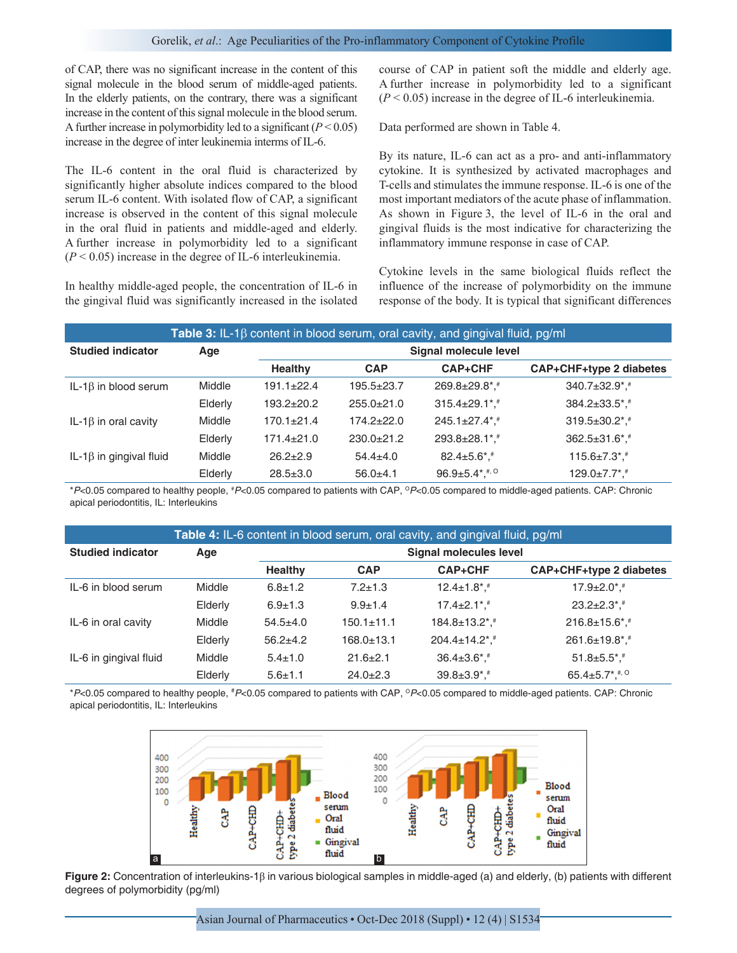#### Gorelik, *et al*.: Age Peculiarities of the Pro-inflammatory Component of Cytokine Profile

of CAP, there was no significant increase in the content of this signal molecule in the blood serum of middle-aged patients. In the elderly patients, on the contrary, there was a significant increase in the content of this signal molecule in the blood serum. A further increase in polymorbidity led to a significant  $(P < 0.05)$ increase in the degree of inter leukinemia interms of IL-6.

The IL-6 content in the oral fluid is characterized by significantly higher absolute indices compared to the blood serum IL-6 content. With isolated flow of CAP, a significant increase is observed in the content of this signal molecule in the oral fluid in patients and middle-aged and elderly. A further increase in polymorbidity led to a significant  $(P < 0.05)$  increase in the degree of IL-6 interleukinemia.

In healthy middle-aged people, the concentration of IL-6 in the gingival fluid was significantly increased in the isolated course of CAP in patient soft the middle and elderly age. A further increase in polymorbidity led to a significant (*P* < 0.05) increase in the degree of IL-6 interleukinemia.

Data performed are shown in Table 4.

By its nature, IL-6 can act as a pro- and anti-inflammatory cytokine. It is synthesized by activated macrophages and T-cells and stimulates the immune response. IL-6 is one of the most important mediators of the acute phase of inflammation. As shown in Figure 3, the level of IL-6 in the oral and gingival fluids is the most indicative for characterizing the inflammatory immune response in case of CAP.

Cytokine levels in the same biological fluids reflect the influence of the increase of polymorbidity on the immune response of the body. It is typical that significant differences

| Table 3: IL-1 $\beta$ content in blood serum, oral cavity, and gingival fluid, pg/ml |         |                |                       |                                         |                                 |
|--------------------------------------------------------------------------------------|---------|----------------|-----------------------|-----------------------------------------|---------------------------------|
| <b>Studied indicator</b>                                                             | Age     |                | Signal molecule level |                                         |                                 |
|                                                                                      |         | <b>Healthy</b> | <b>CAP</b>            | <b>CAP+CHF</b>                          | CAP+CHF+type 2 diabetes         |
| IL-1 $\beta$ in blood serum                                                          | Middle  | $191.1 + 22.4$ | $195.5 \pm 23.7$      | 269.8±29.8*,#                           | $340.7 \pm 32.9$ <sup>*</sup> . |
|                                                                                      | Elderly | $193.2 + 20.2$ | $255.0+21.0$          | $315.4 \pm 29.1$ *.                     | $384.2 \pm 33.5$ *, #           |
| IL-1 $\beta$ in oral cavity                                                          | Middle  | $170.1 + 21.4$ | $174.2 \pm 22.0$      | $245.1 \pm 27.4$ *.*                    | $319.5 \pm 30.2$ *, #           |
|                                                                                      | Elderly | 171.4±21.0     | $230.0+21.2$          | 293.8±28.1*,*                           | $362.5 \pm 31.6$ *, #           |
| IL-1 $\beta$ in gingival fluid                                                       | Middle  | $26.2 \pm 2.9$ | $54.4 \pm 4.0$        | $82.4 \pm 5.6$ *, #                     | $115.6 \pm 7.3$ *, #            |
|                                                                                      | Elderly | $28.5 \pm 3.0$ | $56.0+4.1$            | $96.9 \pm 5.4$ *. $\stackrel{#}{\cdot}$ | $129.0 \pm 7.7$ <sup>*</sup> .  |

\**P*<0.05 compared to healthy people, # *P*<0.05 compared to patients with CAP, O*P*<0.05 compared to middle‑aged patients. CAP: Chronic apical periodontitis, IL: Interleukins

| Table 4: IL-6 content in blood serum, oral cavity, and gingival fluid, pg/ml |               |                        |                  |                               |                                    |
|------------------------------------------------------------------------------|---------------|------------------------|------------------|-------------------------------|------------------------------------|
| <b>Studied indicator</b>                                                     | Age           | Signal molecules level |                  |                               |                                    |
|                                                                              |               | <b>Healthy</b>         | <b>CAP</b>       | <b>CAP+CHF</b>                | CAP+CHF+type 2 diabetes            |
| IL-6 in blood serum                                                          | Middle        | $6.8 \pm 1.2$          | $7.2 + 1.3$      | $12.4 \pm 1.8$ *, #           | $17.9 \pm 2.0$ *, #                |
|                                                                              | Elderly       | $6.9 + 1.3$            | $9.9 + 1.4$      | $17.4 \pm 2.1$ *.             | $23.2 \pm 2.3$ *, #                |
| IL-6 in oral cavity                                                          | Middle        | $54.5+4.0$             | $150.1 \pm 11.1$ | 184.8±13.2*. <sup>#</sup>     | $216.8 \pm 15.6$ *, #              |
|                                                                              | Elderly       | $56.2 + 4.2$           | $168.0 \pm 13.1$ | $204.4 \pm 14.2$ *, *         | 261.6±19.8*,#                      |
| IL-6 in gingival fluid                                                       | <b>Middle</b> | $5.4 \pm 1.0$          | $21.6 \pm 2.1$   | $36.4 \pm 3.6$ *, #           | $51.8 \pm 5.5$ *, #                |
|                                                                              | Elderly       | $5.6 \pm 1.1$          | $24.0+2.3$       | $39.8 \pm 3.9$ <sup>*</sup> . | 65.4 $\pm$ 5.7 $*$ , $*$ , $\circ$ |

\**P*<0.05 compared to healthy people, # *P*<0.05 compared to patients with CAP, O*P*<0.05 compared to middle‑aged patients. CAP: Chronic apical periodontitis, IL: Interleukins



**Figure 2:** Concentration of interleukins-1β in various biological samples in middle-aged (a) and elderly, (b) patients with different degrees of polymorbidity (pg/ml)

Asian Journal of Pharmaceutics • Oct-Dec 2018 (Suppl) • 12 (4) | S1534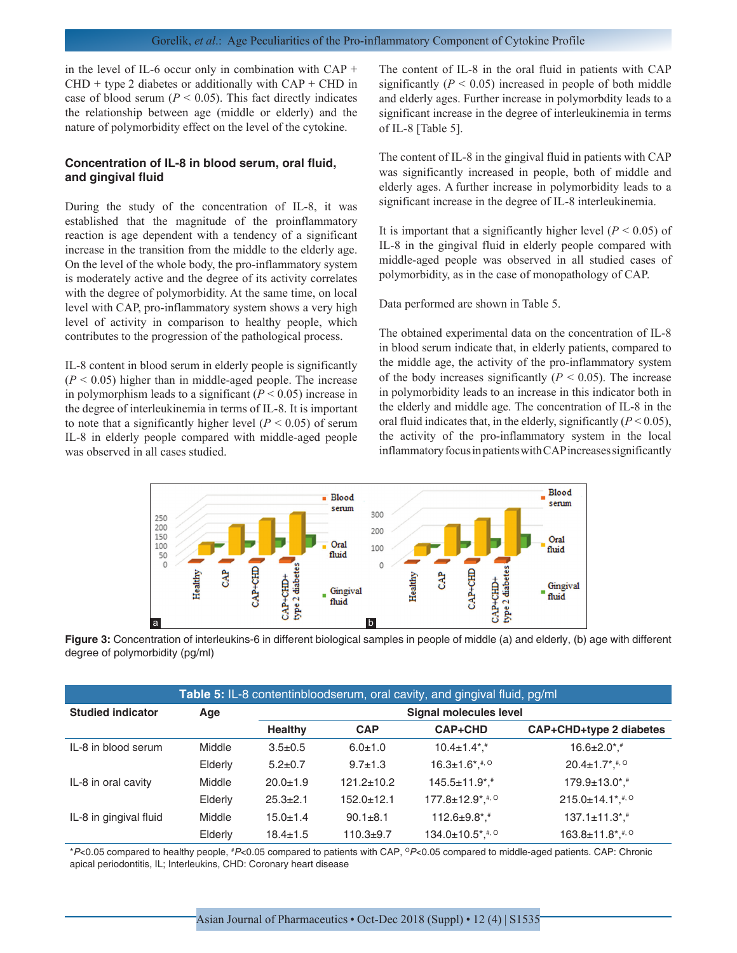in the level of IL-6 occur only in combination with CAP +  $CHD + type 2$  diabetes or additionally with  $CAP + CHD$  in case of blood serum ( $P < 0.05$ ). This fact directly indicates the relationship between age (middle or elderly) and the nature of polymorbidity effect on the level of the cytokine.

#### **Concentration of IL-8 in blood serum, oral fluid, and gingival fluid**

During the study of the concentration of IL-8, it was established that the magnitude of the proinflammatory reaction is age dependent with a tendency of a significant increase in the transition from the middle to the elderly age. On the level of the whole body, the pro-inflammatory system is moderately active and the degree of its activity correlates with the degree of polymorbidity. At the same time, on local level with CAP, pro-inflammatory system shows a very high level of activity in comparison to healthy people, which contributes to the progression of the pathological process.

IL-8 content in blood serum in elderly people is significantly  $(P < 0.05)$  higher than in middle-aged people. The increase in polymorphism leads to a significant  $(P < 0.05)$  increase in the degree of interleukinemia in terms of IL-8. It is important to note that a significantly higher level  $(P < 0.05)$  of serum IL-8 in elderly people compared with middle-aged people was observed in all cases studied.

The content of IL-8 in the oral fluid in patients with CAP significantly  $(P < 0.05)$  increased in people of both middle and elderly ages. Further increase in polymorbdity leads to a significant increase in the degree of interleukinemia in terms of IL-8 [Table 5].

The content of IL-8 in the gingival fluid in patients with CAP was significantly increased in people, both of middle and elderly ages. A further increase in polymorbidity leads to a significant increase in the degree of IL-8 interleukinemia.

It is important that a significantly higher level  $(P < 0.05)$  of IL-8 in the gingival fluid in elderly people compared with middle-aged people was observed in all studied cases of polymorbidity, as in the case of monopathology of CAP.

Data performed are shown in Table 5.

The obtained experimental data on the concentration of IL-8 in blood serum indicate that, in elderly patients, compared to the middle age, the activity of the pro-inflammatory system of the body increases significantly  $(P < 0.05)$ . The increase in polymorbidity leads to an increase in this indicator both in the elderly and middle age. The concentration of IL-8 in the oral fluid indicates that, in the elderly, significantly  $(P < 0.05)$ , the activity of the pro-inflammatory system in the local inflammatory focus in patients with CAP increases significantly



**Figure 3:** Concentration of interleukins-6 in different biological samples in people of middle (a) and elderly, (b) age with different degree of polymorbidity (pg/ml)

| Table 5: IL-8 contentinbloodserum, oral cavity, and gingival fluid, pg/ml |         |                        |                  |                                                 |                                                 |
|---------------------------------------------------------------------------|---------|------------------------|------------------|-------------------------------------------------|-------------------------------------------------|
| <b>Studied indicator</b>                                                  | Age     | Signal molecules level |                  |                                                 |                                                 |
|                                                                           |         | <b>Healthy</b>         | <b>CAP</b>       | <b>CAP+CHD</b>                                  | CAP+CHD+type 2 diabetes                         |
| IL-8 in blood serum                                                       | Middle  | $3.5 \pm 0.5$          | $6.0 + 1.0$      | $10.4 \pm 1.4$ *.*                              | $16.6 \pm 2.0$ *.                               |
|                                                                           | Elderly | $5.2 \pm 0.7$          | $9.7 + 1.3$      | $16.3 \pm 1.6$ *, #, $\circ$                    | $20.4 \pm 1.7$ *, #, $\circ$                    |
| IL-8 in oral cavity                                                       | Middle  | $20.0 \pm 1.9$         | $121.2 \pm 10.2$ | $145.5 \pm 11.9$ *, #                           | $179.9 \pm 13.0$ *, #                           |
|                                                                           | Elderly | $25.3 \pm 2.1$         | $152.0 \pm 12.1$ | $177.8 \pm 12.9$ <sup>*</sup> , <sup>#, O</sup> | $215.0 \pm 14.1$ <sup>*</sup> , <sup>#, O</sup> |
| IL-8 in gingival fluid                                                    | Middle  | $15.0 \pm 1.4$         | $90.1 \pm 8.1$   | $112.6 \pm 9.8$ *, #                            | $137.1 \pm 11.3$ *, #                           |
|                                                                           | Elderly | $18.4 \pm 1.5$         | $110.3 + 9.7$    | $134.0 \pm 10.5$ *. **. <sup>0</sup>            | $163.8 \pm 11.8$ *, #, 0                        |

\**P*<0.05 compared to healthy people, # *P*<0.05 compared to patients with CAP, O*P*<0.05 compared to middle‑aged patients. CAP: Chronic apical periodontitis, IL; Interleukins, CHD: Coronary heart disease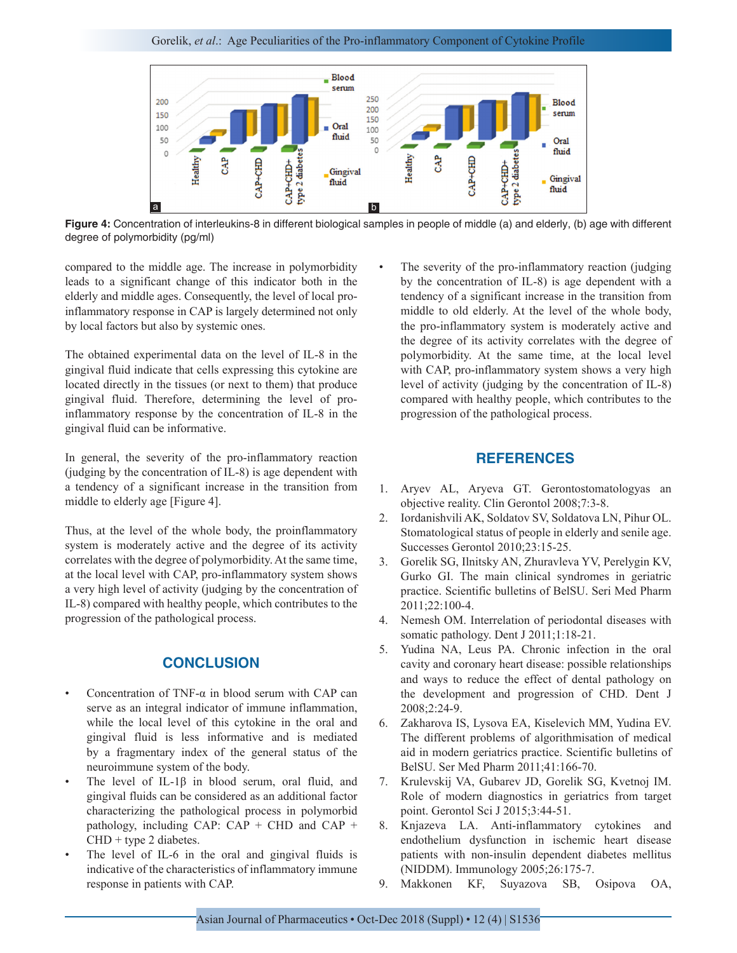

**Figure 4:** Concentration of interleukins-8 in different biological samples in people of middle (a) and elderly, (b) age with different degree of polymorbidity (pg/ml)

compared to the middle age. The increase in polymorbidity leads to a significant change of this indicator both in the elderly and middle ages. Consequently, the level of local proinflammatory response in CAP is largely determined not only by local factors but also by systemic ones.

The obtained experimental data on the level of IL-8 in the gingival fluid indicate that cells expressing this cytokine are located directly in the tissues (or next to them) that produce gingival fluid. Therefore, determining the level of proinflammatory response by the concentration of IL-8 in the gingival fluid can be informative.

In general, the severity of the pro-inflammatory reaction (judging by the concentration of IL-8) is age dependent with a tendency of a significant increase in the transition from middle to elderly age [Figure 4].

Thus, at the level of the whole body, the proinflammatory system is moderately active and the degree of its activity correlates with the degree of polymorbidity. At the same time, at the local level with CAP, pro-inflammatory system shows a very high level of activity (judging by the concentration of IL-8) compared with healthy people, which contributes to the progression of the pathological process.

## **CONCLUSION**

- Concentration of TNF- $\alpha$  in blood serum with CAP can serve as an integral indicator of immune inflammation, while the local level of this cytokine in the oral and gingival fluid is less informative and is mediated by a fragmentary index of the general status of the neuroimmune system of the body.
- The level of IL-1 $\beta$  in blood serum, oral fluid, and gingival fluids can be considered as an additional factor characterizing the pathological process in polymorbid pathology, including CAP:  $CAP + CHD$  and  $CAP +$  $CHD + type 2 diabetes.$
- The level of IL-6 in the oral and gingival fluids is indicative of the characteristics of inflammatory immune response in patients with CAP.

The severity of the pro-inflammatory reaction (judging) by the concentration of IL-8) is age dependent with a tendency of a significant increase in the transition from middle to old elderly. At the level of the whole body, the pro-inflammatory system is moderately active and the degree of its activity correlates with the degree of polymorbidity. At the same time, at the local level with CAP, pro-inflammatory system shows a very high level of activity (judging by the concentration of IL-8) compared with healthy people, which contributes to the progression of the pathological process.

## **REFERENCES**

- 1. Aryev AL, Aryeva GT. Gerontostomatologyas an objective reality. Clin Gerontol 2008;7:3-8.
- 2. Iordanishvili AK, Soldatov SV, Soldatova LN, Pihur OL. Stomatological status of people in elderly and senile age. Successes Gerontol 2010;23:15-25.
- 3. Gorelik SG, Ilnitsky AN, Zhuravleva YV, Perelygin KV, Gurko GI. The main clinical syndromes in geriatric practice. Scientific bulletins of BelSU. Seri Med Pharm 2011;22:100-4.
- 4. Nemesh OM. Interrelation of periodontal diseases with somatic pathology. Dent J 2011;1:18-21.
- 5. Yudina NA, Leus PA. Chronic infection in the oral cavity and coronary heart disease: possible relationships and ways to reduce the effect of dental pathology on the development and progression of CHD. Dent J 2008;2:24-9.
- 6. Zakharova IS, Lysova ЕА, Кiselevich ММ, Yudina ЕV. The different problems of algorithmisation of medical aid in modern geriatrics practice. Scientific bulletins of BelSU. Ser Med Pharm 2011;41:166-70.
- 7. Krulevskij VA, Gubarev JD, Gorelik SG, Kvetnoj IM. Role of modern diagnostics in geriatrics from target point. Gerontol Sci J 2015;3:44-51.
- 8. Knjazeva LA. Anti-inflammatory cytokines and endothelium dysfunction in ischemic heart disease patients with non-insulin dependent diabetes mellitus (NIDDM). Immunology 2005;26:175-7.
- 9. Makkonen KF, Suyazova SB, Osipova OA,